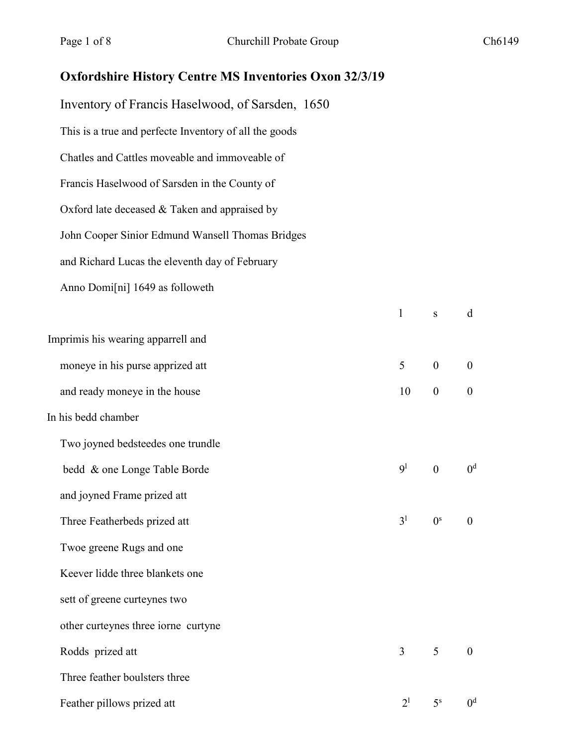## **Oxfordshire History Centre MS Inventories Oxon 32/3/19**

Inventory of Francis Haselwood, of Sarsden, 1650 This is a true and perfecte Inventory of all the goods Chatles and Cattles moveable and immoveable of Francis Haselwood of Sarsden in the County of Oxford late deceased & Taken and appraised by John Cooper Sinior Edmund Wansell Thomas Bridges and Richard Lucas the eleventh day of February Anno Domi[ni] 1649 as followeth l s d Imprimis his wearing apparrell and moneye in his purse apprized att 5 0 0 0 and ready moneye in the house  $10 \t 0 \t 0$ In his bedd chamber Two joyned bedsteedes one trundle bedd & one Longe Table Borde  $9^1$  0  $0^d$ and joyned Frame prized att Three Featherbeds prized att  $3<sup>1</sup>$  0s 0 Twoe greene Rugs and one Keever lidde three blankets one sett of greene curteynes two other curteynes three iorne curtyne Rodds prized att 3 5 0 Three feather boulsters three Feather pillows prized att  $2^1$  5<sup>s</sup> 0<sup>d</sup>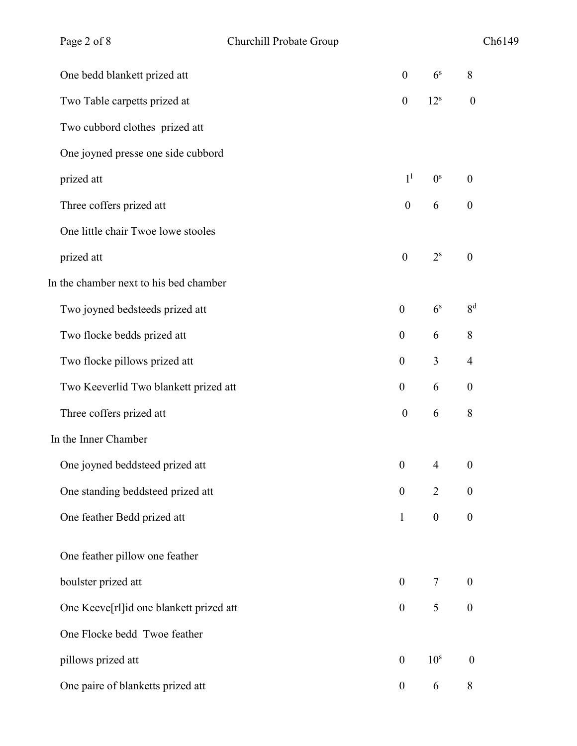| Page 2 of 8                             | Churchill Probate Group |                  |                  |                  | Ch6149 |
|-----------------------------------------|-------------------------|------------------|------------------|------------------|--------|
| One bedd blankett prized att            |                         | $\boldsymbol{0}$ | 6 <sup>s</sup>   | 8                |        |
| Two Table carpetts prized at            |                         | $\boldsymbol{0}$ | 12 <sup>s</sup>  | $\boldsymbol{0}$ |        |
| Two cubbord clothes prized att          |                         |                  |                  |                  |        |
| One joyned presse one side cubbord      |                         |                  |                  |                  |        |
| prized att                              |                         | 1 <sup>1</sup>   | 0 <sup>s</sup>   | $\boldsymbol{0}$ |        |
| Three coffers prized att                |                         | $\boldsymbol{0}$ | 6                | $\boldsymbol{0}$ |        |
| One little chair Twoe lowe stooles      |                         |                  |                  |                  |        |
| prized att                              |                         | $\boldsymbol{0}$ | $2^{\rm s}$      | $\boldsymbol{0}$ |        |
| In the chamber next to his bed chamber  |                         |                  |                  |                  |        |
| Two joyned bedsteeds prized att         |                         | $\boldsymbol{0}$ | 6 <sup>s</sup>   | 8 <sup>d</sup>   |        |
| Two flocke bedds prized att             |                         | $\boldsymbol{0}$ | 6                | $8\,$            |        |
| Two flocke pillows prized att           |                         | $\boldsymbol{0}$ | 3                | $\overline{4}$   |        |
| Two Keeverlid Two blankett prized att   |                         | $\boldsymbol{0}$ | 6                | $\boldsymbol{0}$ |        |
| Three coffers prized att                |                         | $\boldsymbol{0}$ | 6                | 8                |        |
| In the Inner Chamber                    |                         |                  |                  |                  |        |
| One joyned beddsteed prized att         |                         | $\boldsymbol{0}$ | $\overline{4}$   | $\boldsymbol{0}$ |        |
| One standing beddsteed prized att       |                         | $\boldsymbol{0}$ | $\overline{2}$   | $\boldsymbol{0}$ |        |
| One feather Bedd prized att             |                         | $\mathbf{1}$     | $\boldsymbol{0}$ | $\boldsymbol{0}$ |        |
| One feather pillow one feather          |                         |                  |                  |                  |        |
| boulster prized att                     |                         | $\boldsymbol{0}$ | $\tau$           | $\boldsymbol{0}$ |        |
| One Keeve[rl]id one blankett prized att |                         | $\boldsymbol{0}$ | 5                | $\boldsymbol{0}$ |        |
| One Flocke bedd Twoe feather            |                         |                  |                  |                  |        |
| pillows prized att                      |                         | $\boldsymbol{0}$ | 10 <sup>s</sup>  | $\boldsymbol{0}$ |        |
| One paire of blanketts prized att       |                         | $\boldsymbol{0}$ | 6                | $8\,$            |        |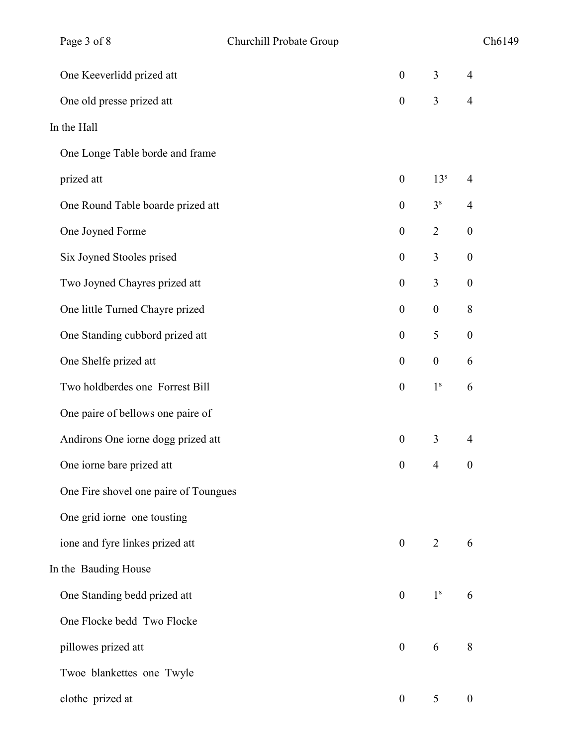| Page 3 of 8                           | Churchill Probate Group |                  |                  | Ch6149           |  |
|---------------------------------------|-------------------------|------------------|------------------|------------------|--|
| One Keeverlidd prized att             |                         | $\boldsymbol{0}$ | 3                | $\overline{4}$   |  |
| One old presse prized att             |                         | $\boldsymbol{0}$ | 3                | $\overline{4}$   |  |
| In the Hall                           |                         |                  |                  |                  |  |
| One Longe Table borde and frame       |                         |                  |                  |                  |  |
| prized att                            |                         | $\boldsymbol{0}$ | 13 <sup>s</sup>  | $\overline{4}$   |  |
| One Round Table boarde prized att     |                         | $\boldsymbol{0}$ | 3 <sup>s</sup>   | $\overline{4}$   |  |
| One Joyned Forme                      |                         | $\boldsymbol{0}$ | $\overline{2}$   | $\boldsymbol{0}$ |  |
| Six Joyned Stooles prised             |                         | $\boldsymbol{0}$ | 3                | $\boldsymbol{0}$ |  |
| Two Joyned Chayres prized att         |                         | $\boldsymbol{0}$ | 3                | $\boldsymbol{0}$ |  |
| One little Turned Chayre prized       |                         | $\boldsymbol{0}$ | $\boldsymbol{0}$ | $\,8\,$          |  |
| One Standing cubbord prized att       |                         | $\boldsymbol{0}$ | 5                | $\boldsymbol{0}$ |  |
| One Shelfe prized att                 |                         | $\boldsymbol{0}$ | $\boldsymbol{0}$ | 6                |  |
| Two holdberdes one Forrest Bill       |                         | $\boldsymbol{0}$ | 1 <sup>s</sup>   | 6                |  |
| One paire of bellows one paire of     |                         |                  |                  |                  |  |
| Andirons One iorne dogg prized att    |                         | $\boldsymbol{0}$ | 3                | $\overline{4}$   |  |
| One iorne bare prized att             |                         | $\boldsymbol{0}$ | $\overline{4}$   | $\boldsymbol{0}$ |  |
| One Fire shovel one paire of Toungues |                         |                  |                  |                  |  |
| One grid iorne one tousting           |                         |                  |                  |                  |  |
| ione and fyre linkes prized att       |                         | $\boldsymbol{0}$ | 2                | 6                |  |
| In the Bauding House                  |                         |                  |                  |                  |  |
| One Standing bedd prized att          |                         | $\boldsymbol{0}$ | 1 <sup>s</sup>   | 6                |  |
| One Flocke bedd Two Flocke            |                         |                  |                  |                  |  |
| pillowes prized att                   |                         | $\boldsymbol{0}$ | 6                | 8                |  |
| Twoe blankettes one Twyle             |                         |                  |                  |                  |  |
| clothe prized at                      |                         | $\boldsymbol{0}$ | 5                | $\boldsymbol{0}$ |  |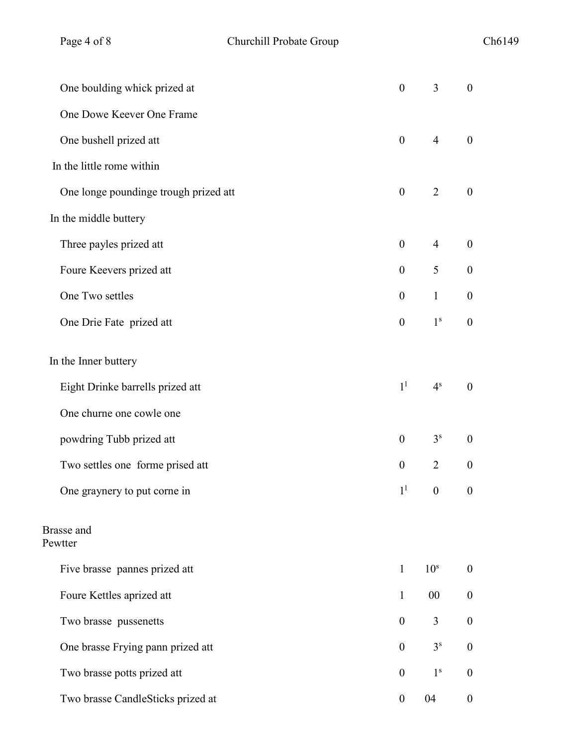| One boulding whick prized at          | $\boldsymbol{0}$ | 3                | $\boldsymbol{0}$ |
|---------------------------------------|------------------|------------------|------------------|
| One Dowe Keever One Frame             |                  |                  |                  |
| One bushell prized att                | $\boldsymbol{0}$ | $\overline{4}$   | $\boldsymbol{0}$ |
| In the little rome within             |                  |                  |                  |
| One longe poundinge trough prized att | $\boldsymbol{0}$ | $\overline{2}$   | $\boldsymbol{0}$ |
| In the middle buttery                 |                  |                  |                  |
| Three payles prized att               | $\boldsymbol{0}$ | $\overline{4}$   | $\boldsymbol{0}$ |
| Foure Keevers prized att              | $\boldsymbol{0}$ | 5                | $\boldsymbol{0}$ |
| One Two settles                       | $\boldsymbol{0}$ | $\mathbf{1}$     | $\boldsymbol{0}$ |
| One Drie Fate prized att              | $\boldsymbol{0}$ | 1 <sup>s</sup>   | $\boldsymbol{0}$ |
| In the Inner buttery                  |                  |                  |                  |
| Eight Drinke barrells prized att      | 1 <sup>1</sup>   | 4 <sup>s</sup>   | $\boldsymbol{0}$ |
| One churne one cowle one              |                  |                  |                  |
| powdring Tubb prized att              | $\boldsymbol{0}$ | 3 <sup>s</sup>   | $\boldsymbol{0}$ |
| Two settles one forme prised att      | $\boldsymbol{0}$ | $\overline{2}$   | $\boldsymbol{0}$ |
| One graynery to put corne in          | 1 <sup>1</sup>   | $\boldsymbol{0}$ | $\boldsymbol{0}$ |
| <b>Brasse</b> and<br>Pewtter          |                  |                  |                  |
| Five brasse pannes prized att         | $\mathbf{1}$     | 10 <sup>s</sup>  | $\boldsymbol{0}$ |
| Foure Kettles aprized att             | 1                | 00               | $\boldsymbol{0}$ |
| Two brasse pussenetts                 | $\overline{0}$   | $\overline{3}$   | $\boldsymbol{0}$ |
| One brasse Frying pann prized att     | $\overline{0}$   | 3 <sup>s</sup>   | $\overline{0}$   |
| Two brasse potts prized att           | $\theta$         | 1 <sup>s</sup>   | $\boldsymbol{0}$ |
| Two brasse CandleSticks prized at     | $\mathbf{0}$     | 04               | $\overline{0}$   |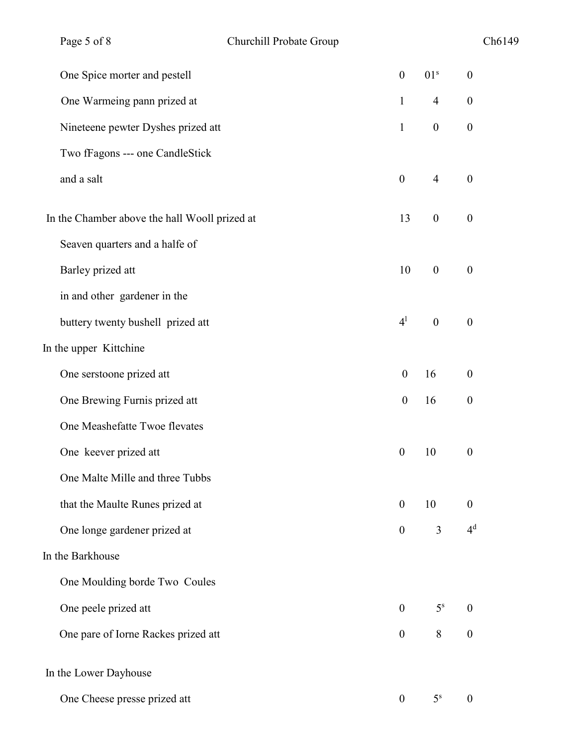| Page 5 of 8                                   | Churchill Probate Group |                  |                  | Ch6149           |
|-----------------------------------------------|-------------------------|------------------|------------------|------------------|
| One Spice morter and pestell                  |                         | $\boldsymbol{0}$ | 01 <sup>s</sup>  | $\boldsymbol{0}$ |
| One Warmeing pann prized at                   |                         | $\mathbf{1}$     | $\overline{4}$   | $\boldsymbol{0}$ |
| Nineteene pewter Dyshes prized att            |                         | $\mathbf{1}$     | $\boldsymbol{0}$ | $\boldsymbol{0}$ |
| Two fFagons --- one CandleStick               |                         |                  |                  |                  |
| and a salt                                    |                         | $\boldsymbol{0}$ | $\overline{4}$   | $\boldsymbol{0}$ |
| In the Chamber above the hall Wooll prized at |                         | 13               | $\overline{0}$   | $\boldsymbol{0}$ |
| Seaven quarters and a halfe of                |                         |                  |                  |                  |
| Barley prized att                             |                         | 10               | $\boldsymbol{0}$ | $\boldsymbol{0}$ |
| in and other gardener in the                  |                         |                  |                  |                  |
| buttery twenty bushell prized att             |                         | 4 <sup>1</sup>   | $\boldsymbol{0}$ | $\boldsymbol{0}$ |
| In the upper Kittchine                        |                         |                  |                  |                  |
| One serstoone prized att                      |                         | $\boldsymbol{0}$ | 16               | $\boldsymbol{0}$ |
| One Brewing Furnis prized att                 |                         | $\boldsymbol{0}$ | 16               | $\boldsymbol{0}$ |
| One Meashefatte Twoe flevates                 |                         |                  |                  |                  |
| One keever prized att                         |                         | $\boldsymbol{0}$ | 10               | $\boldsymbol{0}$ |
| One Malte Mille and three Tubbs               |                         |                  |                  |                  |
| that the Maulte Runes prized at               |                         | $\boldsymbol{0}$ | 10               | $\boldsymbol{0}$ |
| One longe gardener prized at                  |                         | $\boldsymbol{0}$ | 3                | 4 <sup>d</sup>   |
| In the Barkhouse                              |                         |                  |                  |                  |
| One Moulding borde Two Coules                 |                         |                  |                  |                  |
| One peele prized att                          |                         | $\boldsymbol{0}$ | 5 <sup>s</sup>   | $\boldsymbol{0}$ |
| One pare of Iorne Rackes prized att           |                         | $\boldsymbol{0}$ | $8\,$            | $\boldsymbol{0}$ |
| In the Lower Dayhouse                         |                         |                  |                  |                  |
| One Cheese presse prized att                  |                         | $\boldsymbol{0}$ | 5 <sup>s</sup>   | $\boldsymbol{0}$ |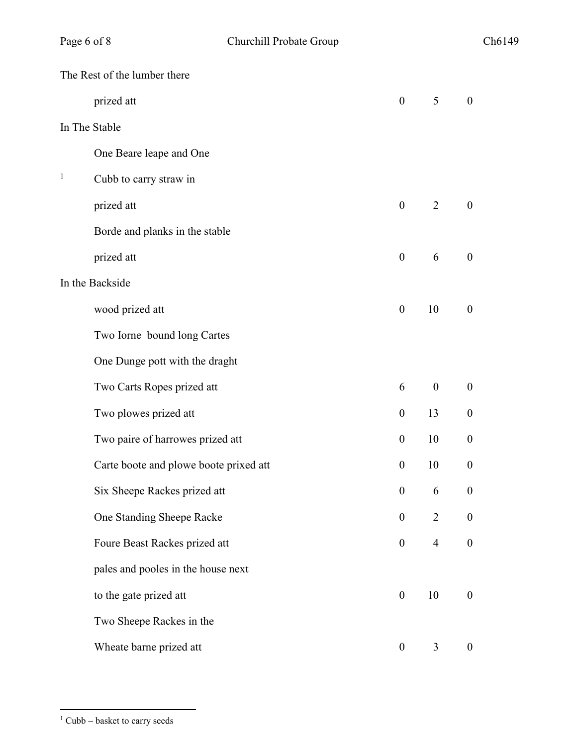|              | The Rest of the lumber there           |                  |                  |                  |
|--------------|----------------------------------------|------------------|------------------|------------------|
|              | prized att                             | $\mathbf{0}$     | 5                | $\boldsymbol{0}$ |
|              | In The Stable                          |                  |                  |                  |
|              | One Beare leape and One                |                  |                  |                  |
| $\mathbf{1}$ | Cubb to carry straw in                 |                  |                  |                  |
|              | prized att                             | $\overline{0}$   | 2                | $\boldsymbol{0}$ |
|              | Borde and planks in the stable         |                  |                  |                  |
|              | prized att                             | $\boldsymbol{0}$ | 6                | $\boldsymbol{0}$ |
|              | In the Backside                        |                  |                  |                  |
|              | wood prized att                        | $\boldsymbol{0}$ | 10               | $\boldsymbol{0}$ |
|              | Two Iorne bound long Cartes            |                  |                  |                  |
|              | One Dunge pott with the draght         |                  |                  |                  |
|              | Two Carts Ropes prized att             | 6                | $\boldsymbol{0}$ | $\boldsymbol{0}$ |
|              | Two plowes prized att                  | $\boldsymbol{0}$ | 13               | $\boldsymbol{0}$ |
|              | Two paire of harrowes prized att       | $\overline{0}$   | 10               | $\boldsymbol{0}$ |
|              | Carte boote and plowe boote prixed att | $\boldsymbol{0}$ | 10               | $\boldsymbol{0}$ |
|              | Six Sheepe Rackes prized att           | $\boldsymbol{0}$ | 6                | $\boldsymbol{0}$ |
|              | One Standing Sheepe Racke              | $\boldsymbol{0}$ | $\overline{2}$   | $\boldsymbol{0}$ |
|              | Foure Beast Rackes prized att          | $\overline{0}$   | $\overline{4}$   | $\boldsymbol{0}$ |
|              | pales and pooles in the house next     |                  |                  |                  |
|              | to the gate prized att                 | $\boldsymbol{0}$ | 10               | $\boldsymbol{0}$ |
|              | Two Sheepe Rackes in the               |                  |                  |                  |
|              | Wheate barne prized att                | $\boldsymbol{0}$ | 3                | $\boldsymbol{0}$ |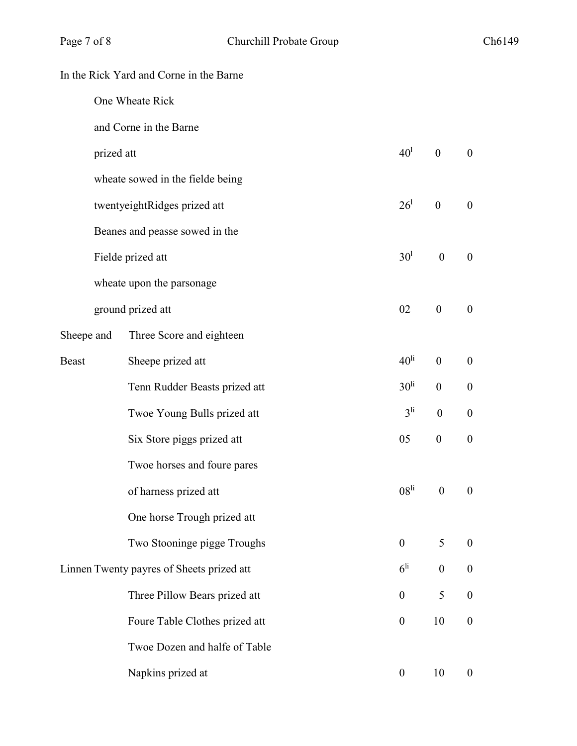|              |                 | In the Rick Yard and Corne in the Barne   |                  |                  |                  |
|--------------|-----------------|-------------------------------------------|------------------|------------------|------------------|
|              | One Wheate Rick |                                           |                  |                  |                  |
|              |                 | and Corne in the Barne                    |                  |                  |                  |
|              | prized att      |                                           | 40 <sup>1</sup>  | $\mathbf{0}$     | $\boldsymbol{0}$ |
|              |                 | wheate sowed in the fielde being          |                  |                  |                  |
|              |                 | twentyeightRidges prized att              | 26 <sup>1</sup>  | $\boldsymbol{0}$ | $\overline{0}$   |
|              |                 | Beanes and peasse sowed in the            |                  |                  |                  |
|              |                 | Fielde prized att                         | 30 <sup>1</sup>  | $\boldsymbol{0}$ | $\boldsymbol{0}$ |
|              |                 | wheate upon the parsonage                 |                  |                  |                  |
|              |                 | ground prized att                         | 02               | $\boldsymbol{0}$ | $\boldsymbol{0}$ |
| Sheepe and   |                 | Three Score and eighteen                  |                  |                  |                  |
| <b>Beast</b> |                 | Sheepe prized att                         | 40 <sup>li</sup> | $\boldsymbol{0}$ | $\boldsymbol{0}$ |
|              |                 | Tenn Rudder Beasts prized att             | 30 <sup>li</sup> | $\boldsymbol{0}$ | $\boldsymbol{0}$ |
|              |                 | Twoe Young Bulls prized att               | 3 <sup>li</sup>  | $\boldsymbol{0}$ | $\boldsymbol{0}$ |
|              |                 | Six Store piggs prized att                | 05               | $\boldsymbol{0}$ | $\boldsymbol{0}$ |
|              |                 | Twoe horses and foure pares               |                  |                  |                  |
|              |                 | of harness prized att                     | 08 <sup>li</sup> | $\boldsymbol{0}$ | $\overline{0}$   |
|              |                 | One horse Trough prized att               |                  |                  |                  |
|              |                 | Two Stooninge pigge Troughs               | $\boldsymbol{0}$ | 5                | $\boldsymbol{0}$ |
|              |                 | Linnen Twenty payres of Sheets prized att | 6 <sup>li</sup>  | $\boldsymbol{0}$ | $\boldsymbol{0}$ |
|              |                 | Three Pillow Bears prized att             | $\boldsymbol{0}$ | 5                | $\boldsymbol{0}$ |
|              |                 | Foure Table Clothes prized att            | $\boldsymbol{0}$ | 10               | $\boldsymbol{0}$ |
|              |                 | Twoe Dozen and halfe of Table             |                  |                  |                  |
|              |                 | Napkins prized at                         | $\boldsymbol{0}$ | 10               | $\boldsymbol{0}$ |